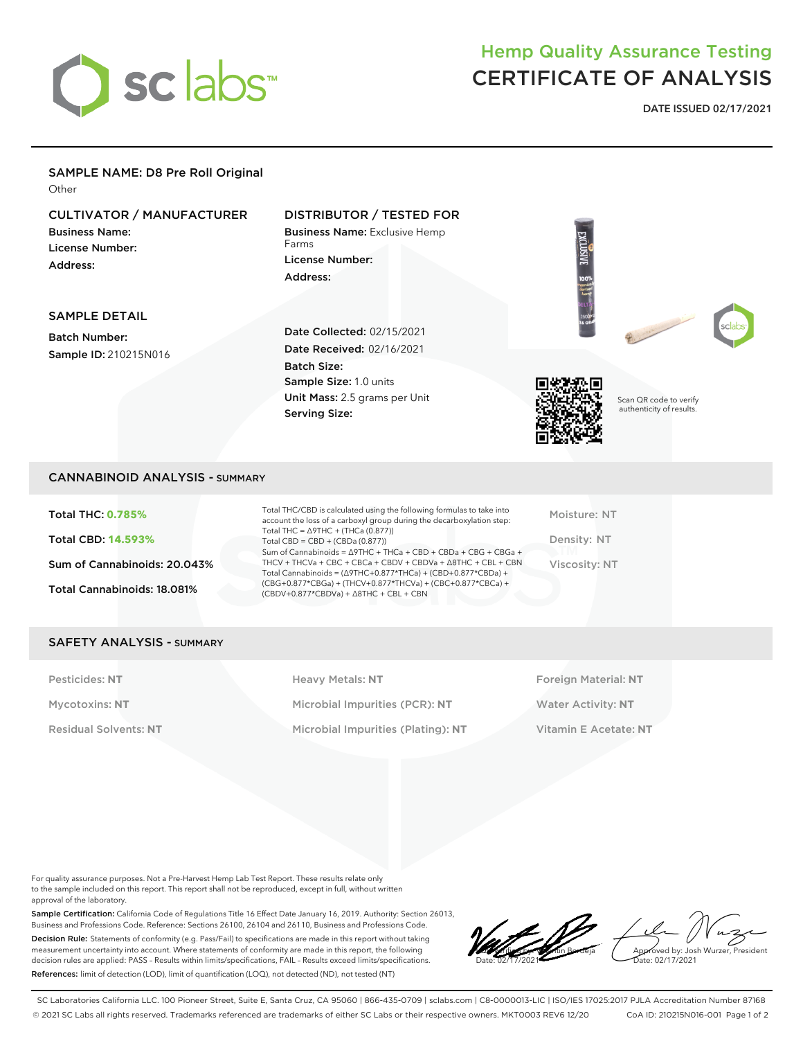

# Hemp Quality Assurance Testing CERTIFICATE OF ANALYSIS

**DATE ISSUED 02/17/2021**

## SAMPLE NAME: D8 Pre Roll Original

**Other** 

## CULTIVATOR / MANUFACTURER

Business Name: License Number: Address:

### DISTRIBUTOR / TESTED FOR

Business Name: Exclusive Hemp Farms License Number: Address:

SAMPLE DETAIL

Batch Number: Sample ID: 210215N016 Date Collected: 02/15/2021 Date Received: 02/16/2021 Batch Size: Sample Size: 1.0 units Unit Mass: 2.5 grams per Unit Serving Size:



Scan QR code to verify authenticity of results.

#### CANNABINOID ANALYSIS - SUMMARY

Total THC: **0.785%** Total CBD: **14.593%** Sum of Cannabinoids: 20.043% Total Cannabinoids: 18.081%

Total THC/CBD is calculated using the following formulas to take into account the loss of a carboxyl group during the decarboxylation step: Total THC = ∆9THC + (THCa (0.877)) Total CBD = CBD + (CBDa (0.877)) Sum of Cannabinoids = ∆9THC + THCa + CBD + CBDa + CBG + CBGa + THCV + THCVa + CBC + CBCa + CBDV + CBDVa + ∆8THC + CBL + CBN Total Cannabinoids = (∆9THC+0.877\*THCa) + (CBD+0.877\*CBDa) + (CBG+0.877\*CBGa) + (THCV+0.877\*THCVa) + (CBC+0.877\*CBCa) + (CBDV+0.877\*CBDVa) + ∆8THC + CBL + CBN

Moisture: NT Density: NT Viscosity: NT

#### SAFETY ANALYSIS - SUMMARY

Pesticides: NT **All Accords** Heavy Metals: NT **Foreign Material: NT** Pesticides: NT Mycotoxins: **NT** Microbial Impurities (PCR): **NT** Water Activity: **NT** Residual Solvents: **NT** Microbial Impurities (Plating): **NT** Vitamin E Acetate: **NT**

For quality assurance purposes. Not a Pre-Harvest Hemp Lab Test Report. These results relate only to the sample included on this report. This report shall not be reproduced, except in full, without written approval of the laboratory.

Sample Certification: California Code of Regulations Title 16 Effect Date January 16, 2019. Authority: Section 26013, Business and Professions Code. Reference: Sections 26100, 26104 and 26110, Business and Professions Code. Decision Rule: Statements of conformity (e.g. Pass/Fail) to specifications are made in this report without taking measurement uncertainty into account. Where statements of conformity are made in this report, the following decision rules are applied: PASS – Results within limits/specifications, FAIL – Results exceed limits/specifications. References: limit of detection (LOD), limit of quantification (LOQ), not detected (ND), not tested (NT)

LQC verified by: Valentin Berdeja Date: 02/17/2021 Approved by: Josh Wurzer, President ate: 02/17/2021

SC Laboratories California LLC. 100 Pioneer Street, Suite E, Santa Cruz, CA 95060 | 866-435-0709 | sclabs.com | C8-0000013-LIC | ISO/IES 17025:2017 PJLA Accreditation Number 87168 © 2021 SC Labs all rights reserved. Trademarks referenced are trademarks of either SC Labs or their respective owners. MKT0003 REV6 12/20 CoA ID: 210215N016-001 Page 1 of 2